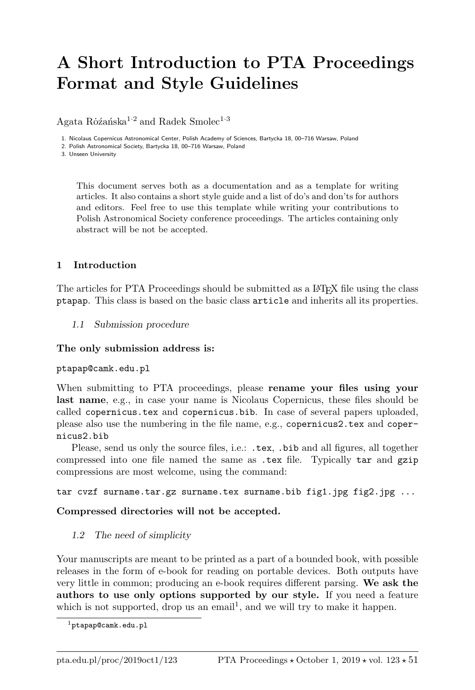# A Short Introduction to PTA Proceedings Format and Style Guidelines

Agata Rô $\zeta$ anska<sup>1·2</sup> and Radek Smolec<sup>1·3</sup>

1. Nicolaus Copernicus Astronomical Center, Polish Academy of Sciences, Bartycka 18, 00–716 Warsaw, Poland

2. Polish Astronomical Society, Bartycka 18, 00–716 Warsaw, Poland

3. Unseen University

This document serves both as a documentation and as a template for writing articles. It also contains a short style guide and a list of do's and don'ts for authors and editors. Feel free to use this template while writing your contributions to Polish Astronomical Society conference proceedings. The articles containing only abstract will be not be accepted.

### 1 Introduction

The articles for PTA Proceedings should be submitted as a L<sup>A</sup>T<sub>E</sub>X file using the class ptapap. This class is based on the basic class article and inherits all its properties.

1.1 Submission procedure

#### The only submission address is:

#### ptapap@camk.edu.pl

When submitting to PTA proceedings, please rename your files using your last name, e.g., in case your name is Nicolaus Copernicus, these files should be called copernicus.tex and copernicus.bib. In case of several papers uploaded, please also use the numbering in the file name, e.g., copernicus2.tex and copernicus2.bib

Please, send us only the source files, i.e.: .tex, .bib and all figures, all together compressed into one file named the same as .tex file. Typically tar and gzip compressions are most welcome, using the command:

tar cvzf surname.tar.gz surname.tex surname.bib fig1.jpg fig2.jpg  $\ldots$ 

### Compressed directories will not be accepted.

### 1.2 The need of simplicity

Your manuscripts are meant to be printed as a part of a bounded book, with possible releases in the form of e-book for reading on portable devices. Both outputs have very little in common; producing an e-book requires different parsing. We ask the authors to use only options supported by our style. If you need a feature which is not supported, drop us an email<sup>1</sup>, and we will try to make it happen.

<sup>1</sup>ptapap@camk.edu.pl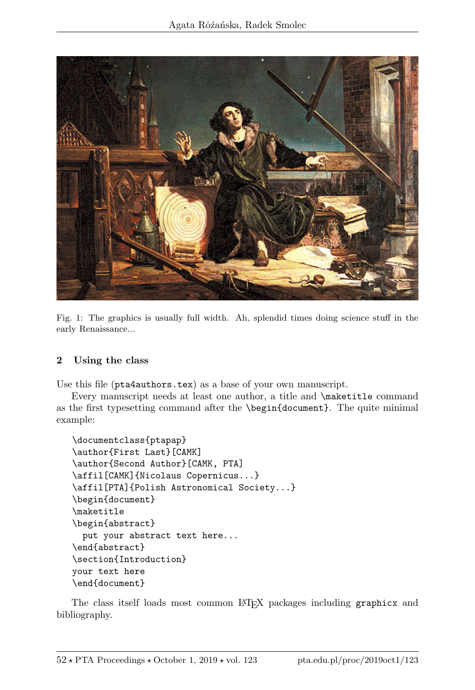

Fig. 1: The graphics is usually full width. Ah, splendid times doing science stuff in the early Renaissance...

## 2 Using the class

Use this file (pta4authors.tex) as a base of your own manuscript.

Every manuscript needs at least one author, a title and \maketitle command as the first typesetting command after the \begin{document}. The quite minimal example:

```
\documentclass{ptapap}
\author{First Last}[CAMK]
\author{Second Author}[CAMK, PTA]
\affil[CAMK]{Nicolaus Copernicus...}
\affil[PTA]{Polish Astronomical Society...}
\begin{document}
\maketitle
\begin{abstract}
  put your abstract text here...
\end{abstract}
\section{Introduction}
your text here
\end{document}
```
The class itself loads most common LATEX packages including graphicx and bibliography.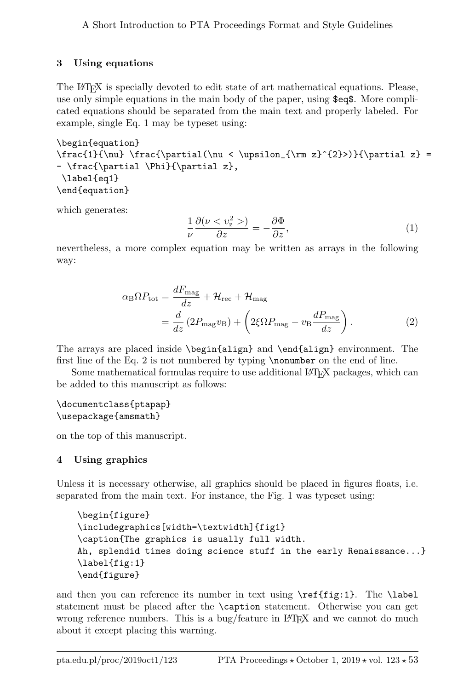# 3 Using equations

The LATEX is specially devoted to edit state of art mathematical equations. Please, use only simple equations in the main body of the paper, using \$eq\$. More complicated equations should be separated from the main text and properly labeled. For example, single Eq. 1 may be typeset using:

```
\begin{equation}
\frac{1}{\nu} \frac{\partial(\nu < \upsilon_{\rm z}^{2}})}{\partial z} =- \frac{\partial \Phi}{\partial z},
\label{eq1}
\end{equation}
```
which generates:

$$
\frac{1}{\nu} \frac{\partial(\nu < v_{\rm z}^2 \gt) }{\partial z} = -\frac{\partial \Phi}{\partial z},\tag{1}
$$

nevertheless, a more complex equation may be written as arrays in the following way:

$$
\alpha_{\rm B}\Omega P_{\rm tot} = \frac{dF_{\rm mag}}{dz} + \mathcal{H}_{\rm rec} + \mathcal{H}_{\rm mag}
$$
  
= 
$$
\frac{d}{dz}(2P_{\rm mag}v_{\rm B}) + \left(2\xi\Omega P_{\rm mag} - v_{\rm B}\frac{dP_{\rm mag}}{dz}\right).
$$
 (2)

The arrays are placed inside \begin{align} and \end{align} environment. The first line of the Eq. 2 is not numbered by typing **\nonumber** on the end of line.

Some mathematical formulas require to use additional LATEX packages, which can be added to this manuscript as follows:

## \documentclass{ptapap} \usepackage{amsmath}

on the top of this manuscript.

# 4 Using graphics

Unless it is necessary otherwise, all graphics should be placed in figures floats, i.e. separated from the main text. For instance, the Fig. 1 was typeset using:

```
\begin{figure}
\includegraphics[width=\textwidth]{fig1}
\caption{The graphics is usually full width.
Ah, splendid times doing science stuff in the early Renaissance...}
\label{fig:1}
\end{figure}
```
and then you can reference its number in text using  $\ref{fig:1}$ . The  $\label{ref:1}$ statement must be placed after the \caption statement. Otherwise you can get wrong reference numbers. This is a bug/feature in  $L^2T$ <sub>EX</sub> and we cannot do much about it except placing this warning.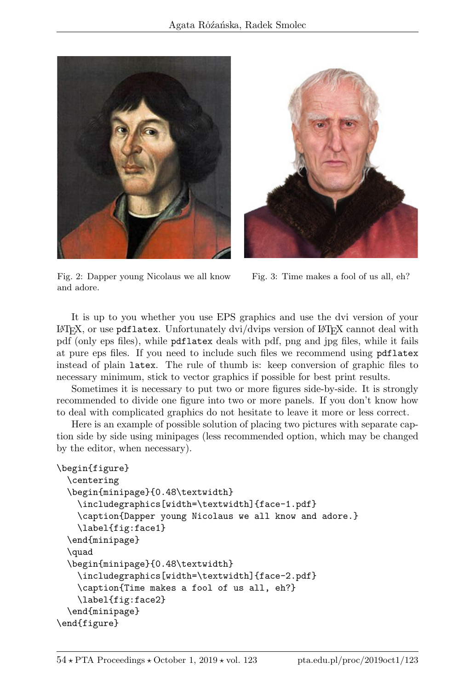



Fig. 2: Dapper young Nicolaus we all know and adore.

Fig. 3: Time makes a fool of us all, eh?

It is up to you whether you use EPS graphics and use the dvi version of your  $E\rightarrow X$ , or use pdflatex. Unfortunately dvi/dvips version of  $E\rightarrow X$  cannot deal with pdf (only eps files), while pdflatex deals with pdf, png and jpg files, while it fails at pure eps files. If you need to include such files we recommend using pdflatex instead of plain latex. The rule of thumb is: keep conversion of graphic files to necessary minimum, stick to vector graphics if possible for best print results.

Sometimes it is necessary to put two or more figures side-by-side. It is strongly recommended to divide one figure into two or more panels. If you don't know how to deal with complicated graphics do not hesitate to leave it more or less correct.

Here is an example of possible solution of placing two pictures with separate caption side by side using minipages (less recommended option, which may be changed by the editor, when necessary).

```
\begin{figure}
 \centering
 \begin{minipage}{0.48\textwidth}
   \includegraphics[width=\textwidth]{face-1.pdf}
    \caption{Dapper young Nicolaus we all know and adore.}
   \label{fig:face1}
 \end{minipage}
 \quad
 \begin{minipage}{0.48\textwidth}
   \includegraphics[width=\textwidth]{face-2.pdf}
    \caption{Time makes a fool of us all, eh?}
   \label{fig:face2}
 \end{minipage}
\end{figure}
```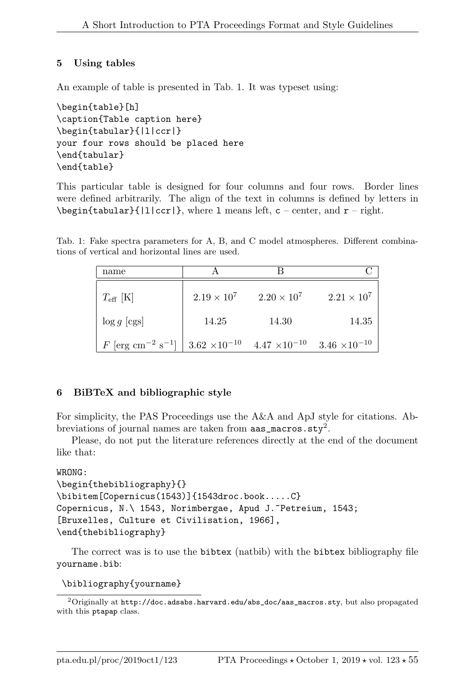## 5 Using tables

An example of table is presented in Tab. 1. It was typeset using:

```
\begin{table}[h]
\caption{Table caption here}
\begin{tabular}{|l|ccr|}
your four rows should be placed here
\end{tabular}
\end{table}
```
This particular table is designed for four columns and four rows. Border lines were defined arbitrarily. The align of the text in columns is defined by letters in  $\begin{equation*}$ {|l|ccr|}, where 1 means left, c – center, and  $r$  – right.

Tab. 1: Fake spectra parameters for A, B, and C model atmospheres. Different combinations of vertical and horizontal lines are used.

| name                                        |                                               |                    |                        |
|---------------------------------------------|-----------------------------------------------|--------------------|------------------------|
| $T_{\rm eff}$ [K]                           | $2.19 \times 10^{7}$                          | $2.20 \times 10^7$ | $2.21 \times 10^7$     |
| $\log g$ [cgs]                              | 14.25                                         | 14.30              | 14.35                  |
| $F$ [erg cm <sup>-2</sup> s <sup>-1</sup> ] | $3.62 \times 10^{-10}$ $4.47 \times 10^{-10}$ |                    | $3.46 \times 10^{-10}$ |

## 6 BiBTeX and bibliographic style

For simplicity, the PAS Proceedings use the A&A and ApJ style for citations. Abbreviations of journal names are taken from  $\texttt{aas\_macros.sty}^2$ .

Please, do not put the literature references directly at the end of the document like that:

#### WRONG:

```
\begin{thebibliography}{}
\bibitem[Copernicus(1543)]{1543droc.book.....C}
Copernicus, N.\ 1543, Norimbergae, Apud J. Petreium, 1543;
[Bruxelles, Culture et Civilisation, 1966],
\end{thebibliography}
```
The correct was is to use the bibtex (natbib) with the bibtex bibliography file yourname.bib:

\bibliography{yourname}

 $^2$ Originally at http://doc.adsabs.harvard.edu/abs\_doc/aas\_macros.sty, but also propagated with this ptapap class.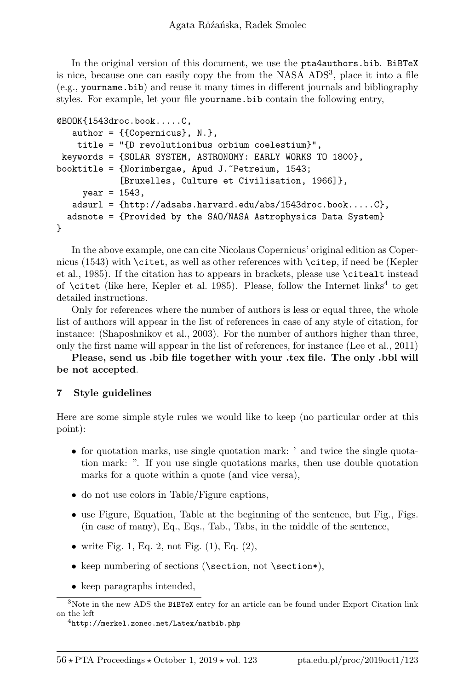In the original version of this document, we use the pta4authors.bib. BiBTeX is nice, because one can easily copy the from the NASA ADS<sup>3</sup>, place it into a file (e.g., yourname.bib) and reuse it many times in different journals and bibliography styles. For example, let your file yourname.bib contain the following entry,

```
@BOOK{1543droc.book.....C,
   author = {Copernicus}, N.},
    title = "{D revolutionibus orbium coelestium}",
keywords = {SOLAR SYSTEM, ASTRONOMY: EARLY WORKS TO 1800},
booktitle = {Norimberger}, Apud J. Petreium, 1543;
            [Bruxelles, Culture et Civilisation, 1966]},
    year = 1543,
   adsurl = \{http://adsabs.harvard.edu/abs/1543droc.book....C\},adsnote = {Provided by the SAO/NASA Astrophysics Data System}
}
```
In the above example, one can cite Nicolaus Copernicus' original edition as Copernicus (1543) with \citet, as well as other references with \citep, if need be (Kepler et al., 1985). If the citation has to appears in brackets, please use \citealt instead of  $\text{citet}$  (like here, Kepler et al. 1985). Please, follow the Internet links<sup>4</sup> to get detailed instructions.

Only for references where the number of authors is less or equal three, the whole list of authors will appear in the list of references in case of any style of citation, for instance: (Shaposhnikov et al., 2003). For the number of authors higher than three, only the first name will appear in the list of references, for instance (Lee et al., 2011)

Please, send us .bib file together with your .tex file. The only .bbl will be not accepted.

### 7 Style guidelines

Here are some simple style rules we would like to keep (no particular order at this point):

- for quotation marks, use single quotation mark: ' and twice the single quotation mark: ". If you use single quotations marks, then use double quotation marks for a quote within a quote (and vice versa),
- do not use colors in Table/Figure captions,
- use Figure, Equation, Table at the beginning of the sentence, but Fig., Figs. (in case of many), Eq., Eqs., Tab., Tabs, in the middle of the sentence,
- write Fig. 1, Eq. 2, not Fig.  $(1)$ , Eq.  $(2)$ ,
- keep numbering of sections (\section, not \section\*),
- keep paragraphs intended,

 $^3\rm{Note}$  in the new ADS the  $\tt{BiBTeX}$  entry for an article can be found under Export Citation link on the left

<sup>4</sup>http://merkel.zoneo.net/Latex/natbib.php